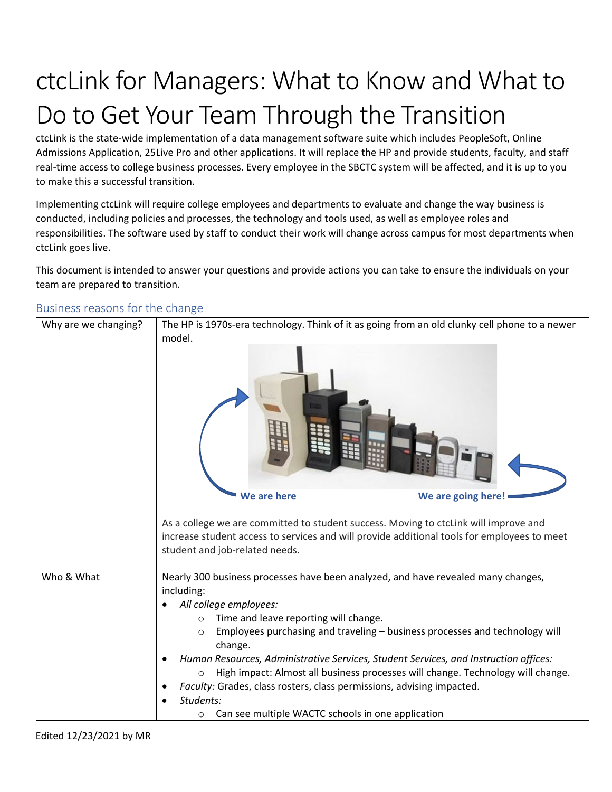# ctcLink for Managers: What to Know and What to Do to Get Your Team Through the Transition

ctcLink is the state-wide implementation of a data management software suite which includes PeopleSoft, Online Admissions Application, 25Live Pro and other applications. It will replace the HP and provide students, faculty, and staff real-time access to college business processes. Every employee in the SBCTC system will be affected, and it is up to you to make this a successful transition.

Implementing ctcLink will require college employees and departments to evaluate and change the way business is conducted, including policies and processes, the technology and tools used, as well as employee roles and responsibilities. The software used by staff to conduct their work will change across campus for most departments when ctcLink goes live.

This document is intended to answer your questions and provide actions you can take to ensure the individuals on your team are prepared to transition.

| Why are we changing? | model.                                                                     | The HP is 1970s-era technology. Think of it as going from an old clunky cell phone to a newer                                                                                       |
|----------------------|----------------------------------------------------------------------------|-------------------------------------------------------------------------------------------------------------------------------------------------------------------------------------|
|                      | We are here                                                                | We are going here!                                                                                                                                                                  |
|                      | student and job-related needs.                                             | As a college we are committed to student success. Moving to ctcLink will improve and<br>increase student access to services and will provide additional tools for employees to meet |
| Who & What           |                                                                            | Nearly 300 business processes have been analyzed, and have revealed many changes,                                                                                                   |
|                      | including:                                                                 |                                                                                                                                                                                     |
|                      | All college employees:<br>Time and leave reporting will change.<br>$\circ$ |                                                                                                                                                                                     |
|                      | $\circ$<br>change.                                                         | Employees purchasing and traveling - business processes and technology will                                                                                                         |
|                      | $\circ$                                                                    | Human Resources, Administrative Services, Student Services, and Instruction offices:<br>High impact: Almost all business processes will change. Technology will change.             |
|                      | Faculty: Grades, class rosters, class permissions, advising impacted.      |                                                                                                                                                                                     |
|                      | Students:                                                                  |                                                                                                                                                                                     |
|                      | Can see multiple WACTC schools in one application<br>$\circ$               |                                                                                                                                                                                     |

#### Business reasons for the change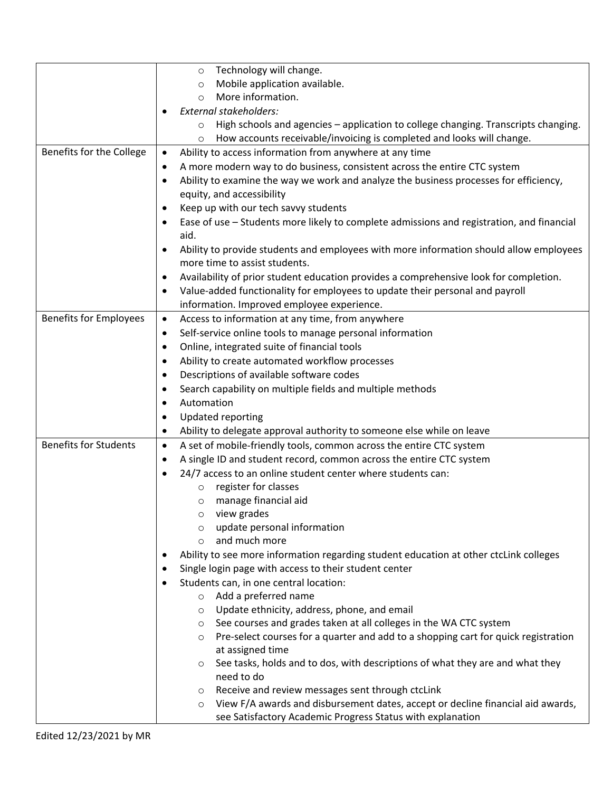|                               | Technology will change.<br>$\circ$                                                                       |
|-------------------------------|----------------------------------------------------------------------------------------------------------|
|                               | Mobile application available.<br>$\circ$                                                                 |
|                               | More information.<br>$\Omega$                                                                            |
|                               | External stakeholders:<br>٠                                                                              |
|                               | High schools and agencies - application to college changing. Transcripts changing.<br>$\circ$            |
|                               | How accounts receivable/invoicing is completed and looks will change.<br>$\circ$                         |
| Benefits for the College      | Ability to access information from anywhere at any time<br>$\bullet$                                     |
|                               | A more modern way to do business, consistent across the entire CTC system<br>٠                           |
|                               | Ability to examine the way we work and analyze the business processes for efficiency,<br>$\bullet$       |
|                               | equity, and accessibility                                                                                |
|                               | Keep up with our tech savvy students<br>$\bullet$                                                        |
|                               | Ease of use - Students more likely to complete admissions and registration, and financial<br>$\bullet$   |
|                               | aid.                                                                                                     |
|                               | Ability to provide students and employees with more information should allow employees<br>$\bullet$      |
|                               | more time to assist students.                                                                            |
|                               | Availability of prior student education provides a comprehensive look for completion.<br>٠               |
|                               | Value-added functionality for employees to update their personal and payroll<br>٠                        |
|                               | information. Improved employee experience.                                                               |
| <b>Benefits for Employees</b> | Access to information at any time, from anywhere<br>$\bullet$                                            |
|                               | Self-service online tools to manage personal information<br>$\bullet$                                    |
|                               | Online, integrated suite of financial tools<br>$\bullet$                                                 |
|                               | Ability to create automated workflow processes<br>$\bullet$                                              |
|                               | Descriptions of available software codes<br>$\bullet$                                                    |
|                               | Search capability on multiple fields and multiple methods<br>$\bullet$                                   |
|                               | Automation<br>$\bullet$                                                                                  |
|                               | Updated reporting<br>$\bullet$                                                                           |
|                               | Ability to delegate approval authority to someone else while on leave<br>$\bullet$                       |
| <b>Benefits for Students</b>  | A set of mobile-friendly tools, common across the entire CTC system<br>$\bullet$                         |
|                               | A single ID and student record, common across the entire CTC system<br>$\bullet$                         |
|                               | 24/7 access to an online student center where students can:<br>$\bullet$                                 |
|                               | register for classes<br>$\circ$                                                                          |
|                               | manage financial aid<br>O                                                                                |
|                               | view grades<br>O                                                                                         |
|                               | update personal information<br>O                                                                         |
|                               | and much more<br>$\circ$                                                                                 |
|                               | Ability to see more information regarding student education at other ctcLink colleges<br>٠               |
|                               | Single login page with access to their student center<br>$\bullet$                                       |
|                               | Students can, in one central location:<br>$\bullet$                                                      |
|                               | Add a preferred name<br>$\circ$<br>Update ethnicity, address, phone, and email                           |
|                               | O<br>See courses and grades taken at all colleges in the WA CTC system                                   |
|                               | $\circ$<br>Pre-select courses for a quarter and add to a shopping cart for quick registration<br>$\circ$ |
|                               | at assigned time                                                                                         |
|                               | See tasks, holds and to dos, with descriptions of what they are and what they<br>O                       |
|                               | need to do                                                                                               |
|                               | Receive and review messages sent through ctcLink<br>O                                                    |
|                               | View F/A awards and disbursement dates, accept or decline financial aid awards,<br>$\circ$               |
|                               | see Satisfactory Academic Progress Status with explanation                                               |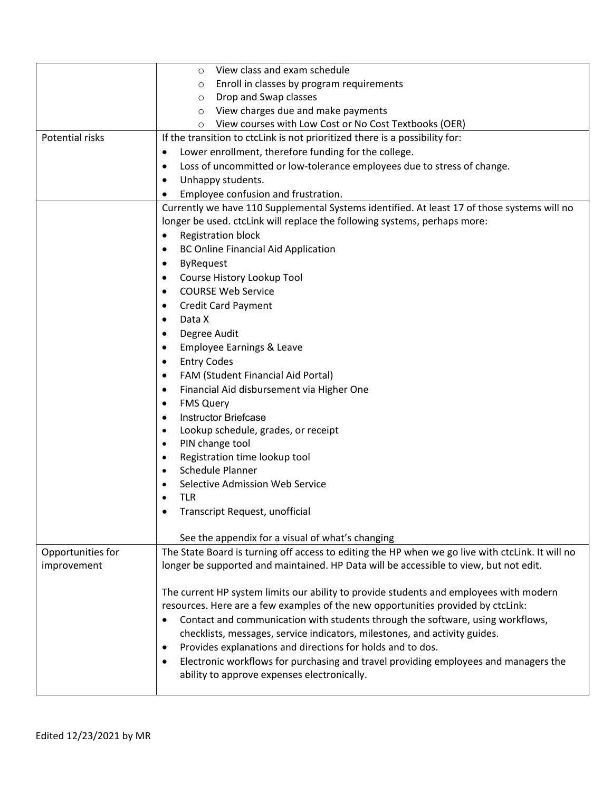|                   | View class and exam schedule<br>O                                                                |
|-------------------|--------------------------------------------------------------------------------------------------|
|                   | Enroll in classes by program requirements<br>$\circ$                                             |
|                   | Drop and Swap classes<br>O                                                                       |
|                   | View charges due and make payments<br>O                                                          |
|                   | View courses with Low Cost or No Cost Textbooks (OER)<br>O                                       |
| Potential risks   | If the transition to ctclink is not prioritized there is a possibility for:                      |
|                   | Lower enrollment, therefore funding for the college.<br>$\bullet$                                |
|                   | Loss of uncommitted or low-tolerance employees due to stress of change.<br>٠                     |
|                   | Unhappy students.<br>$\bullet$                                                                   |
|                   | Employee confusion and frustration.<br>٠                                                         |
|                   | Currently we have 110 Supplemental Systems identified. At least 17 of those systems will no      |
|                   | longer be used. ctcLink will replace the following systems, perhaps more:                        |
|                   | <b>Registration block</b><br>$\bullet$                                                           |
|                   | <b>BC Online Financial Aid Application</b><br>$\bullet$                                          |
|                   | <b>ByRequest</b><br>$\bullet$                                                                    |
|                   | Course History Lookup Tool<br>$\bullet$                                                          |
|                   | <b>COURSE Web Service</b><br>$\bullet$                                                           |
|                   | <b>Credit Card Payment</b><br>$\bullet$                                                          |
|                   | Data X<br>$\bullet$                                                                              |
|                   | Degree Audit<br>٠                                                                                |
|                   | Employee Earnings & Leave<br>$\bullet$                                                           |
|                   | <b>Entry Codes</b><br>$\bullet$                                                                  |
|                   | FAM (Student Financial Aid Portal)<br>٠                                                          |
|                   | Financial Aid disbursement via Higher One<br>٠                                                   |
|                   | <b>FMS Query</b><br>$\bullet$                                                                    |
|                   | <b>Instructor Briefcase</b><br>$\bullet$                                                         |
|                   | Lookup schedule, grades, or receipt<br>$\bullet$                                                 |
|                   | PIN change tool<br>$\bullet$                                                                     |
|                   | Registration time lookup tool<br>$\bullet$                                                       |
|                   | Schedule Planner<br>$\bullet$                                                                    |
|                   | Selective Admission Web Service<br>$\bullet$                                                     |
|                   | <b>TLR</b><br>$\bullet$                                                                          |
|                   | Transcript Request, unofficial                                                                   |
|                   |                                                                                                  |
|                   | See the appendix for a visual of what's changing                                                 |
| Opportunities for | The State Board is turning off access to editing the HP when we go live with ctcLink. It will no |
| improvement       | longer be supported and maintained. HP Data will be accessible to view, but not edit.            |
|                   |                                                                                                  |
|                   | The current HP system limits our ability to provide students and employees with modern           |
|                   | resources. Here are a few examples of the new opportunities provided by ctcLink:                 |
|                   | Contact and communication with students through the software, using workflows,<br>$\bullet$      |
|                   | checklists, messages, service indicators, milestones, and activity guides.                       |
|                   | Provides explanations and directions for holds and to dos.<br>٠                                  |
|                   | Electronic workflows for purchasing and travel providing employees and managers the<br>$\bullet$ |
|                   | ability to approve expenses electronically.                                                      |
|                   |                                                                                                  |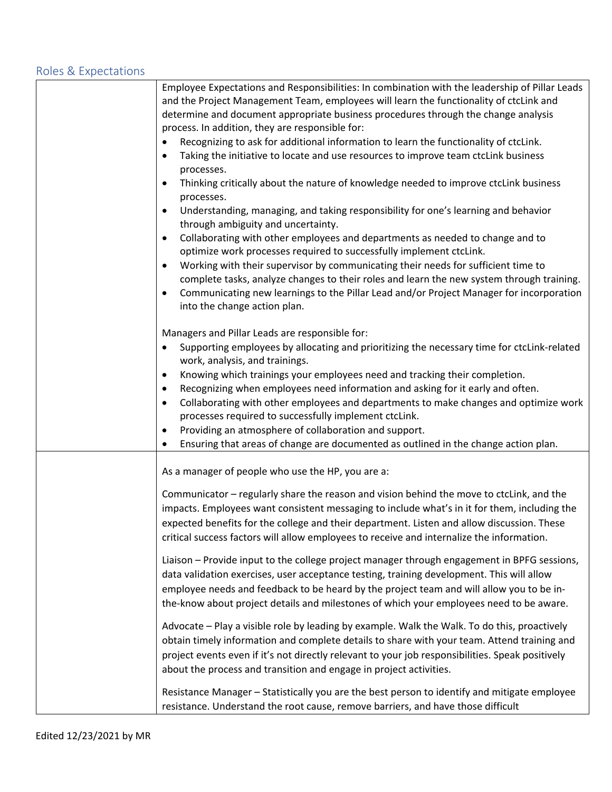#### Roles & Expectations

| Employee Expectations and Responsibilities: In combination with the leadership of Pillar Leads<br>and the Project Management Team, employees will learn the functionality of ctcLink and                                                                                                                                                                                            |
|-------------------------------------------------------------------------------------------------------------------------------------------------------------------------------------------------------------------------------------------------------------------------------------------------------------------------------------------------------------------------------------|
| determine and document appropriate business procedures through the change analysis                                                                                                                                                                                                                                                                                                  |
| process. In addition, they are responsible for:                                                                                                                                                                                                                                                                                                                                     |
| Recognizing to ask for additional information to learn the functionality of ctcLink.<br>$\bullet$                                                                                                                                                                                                                                                                                   |
| Taking the initiative to locate and use resources to improve team ctcLink business                                                                                                                                                                                                                                                                                                  |
| processes.<br>Thinking critically about the nature of knowledge needed to improve ctcLink business<br>$\bullet$<br>processes.                                                                                                                                                                                                                                                       |
| Understanding, managing, and taking responsibility for one's learning and behavior<br>$\bullet$<br>through ambiguity and uncertainty.                                                                                                                                                                                                                                               |
| Collaborating with other employees and departments as needed to change and to<br>optimize work processes required to successfully implement ctcLink.                                                                                                                                                                                                                                |
| Working with their supervisor by communicating their needs for sufficient time to<br>$\bullet$                                                                                                                                                                                                                                                                                      |
| complete tasks, analyze changes to their roles and learn the new system through training.<br>Communicating new learnings to the Pillar Lead and/or Project Manager for incorporation<br>into the change action plan.                                                                                                                                                                |
| Managers and Pillar Leads are responsible for:                                                                                                                                                                                                                                                                                                                                      |
| Supporting employees by allocating and prioritizing the necessary time for ctcLink-related<br>work, analysis, and trainings.                                                                                                                                                                                                                                                        |
| Knowing which trainings your employees need and tracking their completion.<br>$\bullet$                                                                                                                                                                                                                                                                                             |
| Recognizing when employees need information and asking for it early and often.<br>٠                                                                                                                                                                                                                                                                                                 |
| Collaborating with other employees and departments to make changes and optimize work<br>٠<br>processes required to successfully implement ctcLink.                                                                                                                                                                                                                                  |
| Providing an atmosphere of collaboration and support.                                                                                                                                                                                                                                                                                                                               |
| Ensuring that areas of change are documented as outlined in the change action plan.                                                                                                                                                                                                                                                                                                 |
| As a manager of people who use the HP, you are a:                                                                                                                                                                                                                                                                                                                                   |
| Communicator - regularly share the reason and vision behind the move to ctcLink, and the<br>impacts. Employees want consistent messaging to include what's in it for them, including the<br>expected benefits for the college and their department. Listen and allow discussion. These<br>critical success factors will allow employees to receive and internalize the information. |
|                                                                                                                                                                                                                                                                                                                                                                                     |
| Liaison - Provide input to the college project manager through engagement in BPFG sessions,<br>data validation exercises, user acceptance testing, training development. This will allow                                                                                                                                                                                            |
| employee needs and feedback to be heard by the project team and will allow you to be in-<br>the-know about project details and milestones of which your employees need to be aware.                                                                                                                                                                                                 |
| Advocate - Play a visible role by leading by example. Walk the Walk. To do this, proactively                                                                                                                                                                                                                                                                                        |
| obtain timely information and complete details to share with your team. Attend training and                                                                                                                                                                                                                                                                                         |
| project events even if it's not directly relevant to your job responsibilities. Speak positively                                                                                                                                                                                                                                                                                    |
| about the process and transition and engage in project activities.                                                                                                                                                                                                                                                                                                                  |
| Resistance Manager - Statistically you are the best person to identify and mitigate employee<br>resistance. Understand the root cause, remove barriers, and have those difficult                                                                                                                                                                                                    |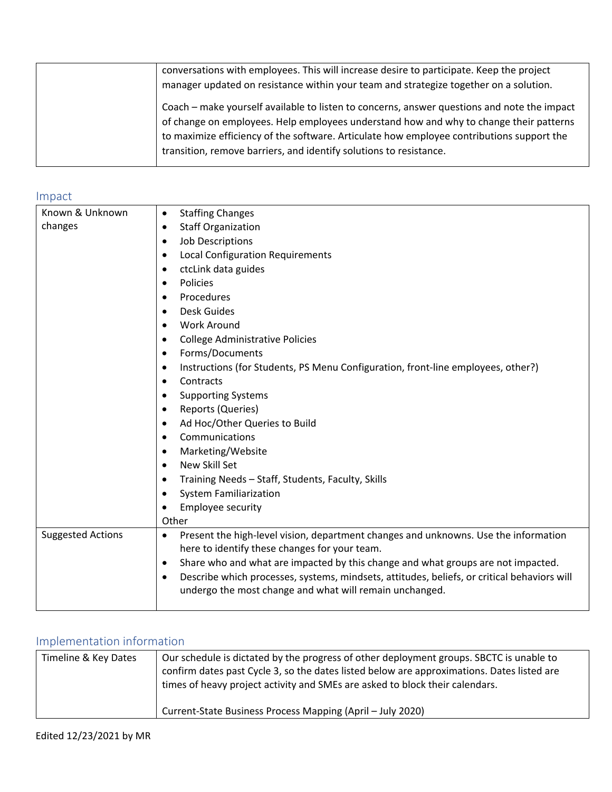| conversations with employees. This will increase desire to participate. Keep the project<br>manager updated on resistance within your team and strategize together on a solution.                                                                                                                                                                        |
|----------------------------------------------------------------------------------------------------------------------------------------------------------------------------------------------------------------------------------------------------------------------------------------------------------------------------------------------------------|
| Coach – make yourself available to listen to concerns, answer questions and note the impact<br>of change on employees. Help employees understand how and why to change their patterns<br>to maximize efficiency of the software. Articulate how employee contributions support the<br>transition, remove barriers, and identify solutions to resistance. |

#### Impact

| Known & Unknown          |                                                                                                          |
|--------------------------|----------------------------------------------------------------------------------------------------------|
|                          | <b>Staffing Changes</b><br>$\bullet$                                                                     |
| changes                  | <b>Staff Organization</b><br>$\bullet$                                                                   |
|                          | <b>Job Descriptions</b><br>$\bullet$                                                                     |
|                          | <b>Local Configuration Requirements</b><br>٠                                                             |
|                          | ctcLink data guides<br>$\bullet$                                                                         |
|                          | Policies<br>$\bullet$                                                                                    |
|                          | Procedures<br>$\bullet$                                                                                  |
|                          | Desk Guides<br>$\bullet$                                                                                 |
|                          | <b>Work Around</b><br>$\bullet$                                                                          |
|                          | <b>College Administrative Policies</b><br>$\bullet$                                                      |
|                          | Forms/Documents<br>$\bullet$                                                                             |
|                          | Instructions (for Students, PS Menu Configuration, front-line employees, other?)<br>$\bullet$            |
|                          | Contracts<br>$\bullet$                                                                                   |
|                          | <b>Supporting Systems</b><br>٠                                                                           |
|                          | Reports (Queries)<br>$\bullet$                                                                           |
|                          | Ad Hoc/Other Queries to Build<br>$\bullet$                                                               |
|                          | Communications<br>$\bullet$                                                                              |
|                          | Marketing/Website<br>$\bullet$                                                                           |
|                          | New Skill Set<br>$\bullet$                                                                               |
|                          | Training Needs - Staff, Students, Faculty, Skills<br>$\bullet$                                           |
|                          | <b>System Familiarization</b><br>$\bullet$                                                               |
|                          | Employee security<br>$\bullet$                                                                           |
|                          | Other                                                                                                    |
| <b>Suggested Actions</b> | Present the high-level vision, department changes and unknowns. Use the information<br>$\bullet$         |
|                          | here to identify these changes for your team.                                                            |
|                          | Share who and what are impacted by this change and what groups are not impacted.<br>$\bullet$            |
|                          | Describe which processes, systems, mindsets, attitudes, beliefs, or critical behaviors will<br>$\bullet$ |
|                          | undergo the most change and what will remain unchanged.                                                  |
|                          |                                                                                                          |
|                          |                                                                                                          |

## Implementation information

| Timeline & Key Dates | Our schedule is dictated by the progress of other deployment groups. SBCTC is unable to<br>confirm dates past Cycle 3, so the dates listed below are approximations. Dates listed are<br>times of heavy project activity and SMEs are asked to block their calendars. |
|----------------------|-----------------------------------------------------------------------------------------------------------------------------------------------------------------------------------------------------------------------------------------------------------------------|
|                      | Current-State Business Process Mapping (April - July 2020)                                                                                                                                                                                                            |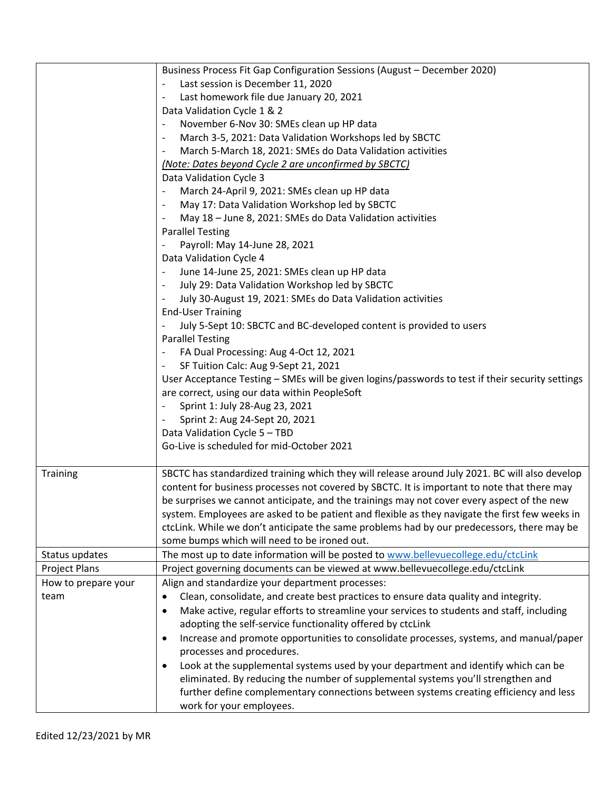|                      | Business Process Fit Gap Configuration Sessions (August - December 2020)                                                                                                                                                                                                                                                                                                                      |
|----------------------|-----------------------------------------------------------------------------------------------------------------------------------------------------------------------------------------------------------------------------------------------------------------------------------------------------------------------------------------------------------------------------------------------|
|                      | Last session is December 11, 2020                                                                                                                                                                                                                                                                                                                                                             |
|                      | Last homework file due January 20, 2021<br>$\qquad \qquad -$                                                                                                                                                                                                                                                                                                                                  |
|                      | Data Validation Cycle 1 & 2                                                                                                                                                                                                                                                                                                                                                                   |
|                      | November 6-Nov 30: SMEs clean up HP data<br>$\overline{\phantom{a}}$                                                                                                                                                                                                                                                                                                                          |
|                      | March 3-5, 2021: Data Validation Workshops led by SBCTC<br>$\overline{\phantom{a}}$                                                                                                                                                                                                                                                                                                           |
|                      | March 5-March 18, 2021: SMEs do Data Validation activities<br>-                                                                                                                                                                                                                                                                                                                               |
|                      | (Note: Dates beyond Cycle 2 are unconfirmed by SBCTC)                                                                                                                                                                                                                                                                                                                                         |
|                      | Data Validation Cycle 3                                                                                                                                                                                                                                                                                                                                                                       |
|                      | March 24-April 9, 2021: SMEs clean up HP data                                                                                                                                                                                                                                                                                                                                                 |
|                      | May 17: Data Validation Workshop led by SBCTC<br>$\overline{\phantom{a}}$                                                                                                                                                                                                                                                                                                                     |
|                      | May 18 - June 8, 2021: SMEs do Data Validation activities<br>$\overline{\phantom{a}}$                                                                                                                                                                                                                                                                                                         |
|                      | <b>Parallel Testing</b>                                                                                                                                                                                                                                                                                                                                                                       |
|                      | Payroll: May 14-June 28, 2021                                                                                                                                                                                                                                                                                                                                                                 |
|                      | Data Validation Cycle 4                                                                                                                                                                                                                                                                                                                                                                       |
|                      | June 14-June 25, 2021: SMEs clean up HP data                                                                                                                                                                                                                                                                                                                                                  |
|                      | July 29: Data Validation Workshop led by SBCTC                                                                                                                                                                                                                                                                                                                                                |
|                      | July 30-August 19, 2021: SMEs do Data Validation activities                                                                                                                                                                                                                                                                                                                                   |
|                      | <b>End-User Training</b>                                                                                                                                                                                                                                                                                                                                                                      |
|                      | July 5-Sept 10: SBCTC and BC-developed content is provided to users                                                                                                                                                                                                                                                                                                                           |
|                      | <b>Parallel Testing</b>                                                                                                                                                                                                                                                                                                                                                                       |
|                      | FA Dual Processing: Aug 4-Oct 12, 2021                                                                                                                                                                                                                                                                                                                                                        |
|                      | SF Tuition Calc: Aug 9-Sept 21, 2021                                                                                                                                                                                                                                                                                                                                                          |
|                      | User Acceptance Testing - SMEs will be given logins/passwords to test if their security settings                                                                                                                                                                                                                                                                                              |
|                      | are correct, using our data within PeopleSoft                                                                                                                                                                                                                                                                                                                                                 |
|                      | Sprint 1: July 28-Aug 23, 2021                                                                                                                                                                                                                                                                                                                                                                |
|                      |                                                                                                                                                                                                                                                                                                                                                                                               |
|                      | Sprint 2: Aug 24-Sept 20, 2021                                                                                                                                                                                                                                                                                                                                                                |
|                      | Data Validation Cycle 5 - TBD                                                                                                                                                                                                                                                                                                                                                                 |
|                      | Go-Live is scheduled for mid-October 2021                                                                                                                                                                                                                                                                                                                                                     |
| Training             | SBCTC has standardized training which they will release around July 2021. BC will also develop<br>content for business processes not covered by SBCTC. It is important to note that there may<br>be surprises we cannot anticipate, and the trainings may not cover every aspect of the new<br>system. Employees are asked to be patient and flexible as they navigate the first few weeks in |
|                      | ctcLink. While we don't anticipate the same problems had by our predecessors, there may be                                                                                                                                                                                                                                                                                                    |
|                      | some bumps which will need to be ironed out.                                                                                                                                                                                                                                                                                                                                                  |
| Status updates       | The most up to date information will be posted to www.bellevuecollege.edu/ctcLink                                                                                                                                                                                                                                                                                                             |
| <b>Project Plans</b> | Project governing documents can be viewed at www.bellevuecollege.edu/ctcLink                                                                                                                                                                                                                                                                                                                  |
| How to prepare your  | Align and standardize your department processes:                                                                                                                                                                                                                                                                                                                                              |
| team                 | Clean, consolidate, and create best practices to ensure data quality and integrity.<br>$\bullet$                                                                                                                                                                                                                                                                                              |
|                      | Make active, regular efforts to streamline your services to students and staff, including                                                                                                                                                                                                                                                                                                     |
|                      | $\bullet$                                                                                                                                                                                                                                                                                                                                                                                     |
|                      | adopting the self-service functionality offered by ctcLink                                                                                                                                                                                                                                                                                                                                    |
|                      | Increase and promote opportunities to consolidate processes, systems, and manual/paper<br>٠<br>processes and procedures.                                                                                                                                                                                                                                                                      |
|                      |                                                                                                                                                                                                                                                                                                                                                                                               |
|                      | Look at the supplemental systems used by your department and identify which can be<br>٠                                                                                                                                                                                                                                                                                                       |
|                      | eliminated. By reducing the number of supplemental systems you'll strengthen and                                                                                                                                                                                                                                                                                                              |
|                      | further define complementary connections between systems creating efficiency and less                                                                                                                                                                                                                                                                                                         |
|                      | work for your employees.                                                                                                                                                                                                                                                                                                                                                                      |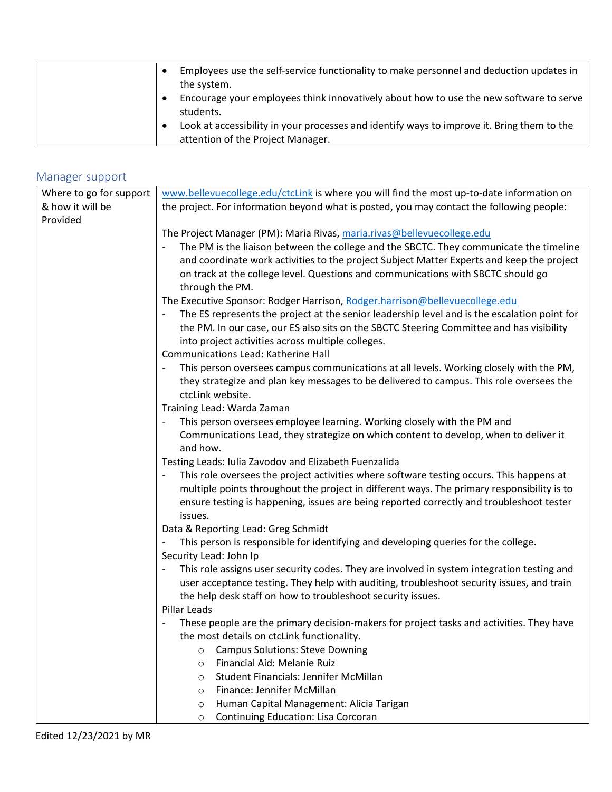| Employees use the self-service functionality to make personnel and deduction updates in<br>the system.                          |
|---------------------------------------------------------------------------------------------------------------------------------|
| Encourage your employees think innovatively about how to use the new software to serve<br>students.                             |
| Look at accessibility in your processes and identify ways to improve it. Bring them to the<br>attention of the Project Manager. |

### Manager support

| Where to go for support | www.bellevuecollege.edu/ctcLink is where you will find the most up-to-date information on                                              |  |
|-------------------------|----------------------------------------------------------------------------------------------------------------------------------------|--|
| & how it will be        | the project. For information beyond what is posted, you may contact the following people:                                              |  |
| Provided                |                                                                                                                                        |  |
|                         | The Project Manager (PM): Maria Rivas, maria.rivas@bellevuecollege.edu                                                                 |  |
|                         | The PM is the liaison between the college and the SBCTC. They communicate the timeline<br>$\qquad \qquad -$                            |  |
|                         | and coordinate work activities to the project Subject Matter Experts and keep the project                                              |  |
|                         | on track at the college level. Questions and communications with SBCTC should go                                                       |  |
|                         | through the PM.                                                                                                                        |  |
|                         | The Executive Sponsor: Rodger Harrison, Rodger.harrison@bellevuecollege.edu                                                            |  |
|                         | The ES represents the project at the senior leadership level and is the escalation point for<br>$\overline{\phantom{a}}$               |  |
|                         | the PM. In our case, our ES also sits on the SBCTC Steering Committee and has visibility                                               |  |
|                         | into project activities across multiple colleges.                                                                                      |  |
|                         | Communications Lead: Katherine Hall                                                                                                    |  |
|                         | This person oversees campus communications at all levels. Working closely with the PM,<br>$\overline{\phantom{a}}$                     |  |
|                         | they strategize and plan key messages to be delivered to campus. This role oversees the                                                |  |
|                         | ctcLink website.                                                                                                                       |  |
|                         | Training Lead: Warda Zaman                                                                                                             |  |
|                         | This person oversees employee learning. Working closely with the PM and                                                                |  |
|                         | Communications Lead, they strategize on which content to develop, when to deliver it                                                   |  |
|                         | and how.                                                                                                                               |  |
|                         | Testing Leads: Iulia Zavodov and Elizabeth Fuenzalida                                                                                  |  |
|                         | This role oversees the project activities where software testing occurs. This happens at<br>$\overline{\phantom{a}}$                   |  |
|                         | multiple points throughout the project in different ways. The primary responsibility is to                                             |  |
|                         | ensure testing is happening, issues are being reported correctly and troubleshoot tester                                               |  |
|                         | issues.                                                                                                                                |  |
|                         | Data & Reporting Lead: Greg Schmidt                                                                                                    |  |
|                         | This person is responsible for identifying and developing queries for the college.                                                     |  |
|                         | Security Lead: John Ip                                                                                                                 |  |
|                         | This role assigns user security codes. They are involved in system integration testing and                                             |  |
|                         | user acceptance testing. They help with auditing, troubleshoot security issues, and train                                              |  |
|                         | the help desk staff on how to troubleshoot security issues.                                                                            |  |
|                         | Pillar Leads                                                                                                                           |  |
|                         | These people are the primary decision-makers for project tasks and activities. They have<br>the most details on ctcLink functionality. |  |
|                         | <b>Campus Solutions: Steve Downing</b>                                                                                                 |  |
|                         | $\circ$<br>Financial Aid: Melanie Ruiz                                                                                                 |  |
|                         | $\circ$<br>Student Financials: Jennifer McMillan                                                                                       |  |
|                         | $\circ$<br>Finance: Jennifer McMillan<br>$\circ$                                                                                       |  |
|                         | Human Capital Management: Alicia Tarigan<br>$\circ$                                                                                    |  |
|                         | Continuing Education: Lisa Corcoran<br>$\circ$                                                                                         |  |
|                         |                                                                                                                                        |  |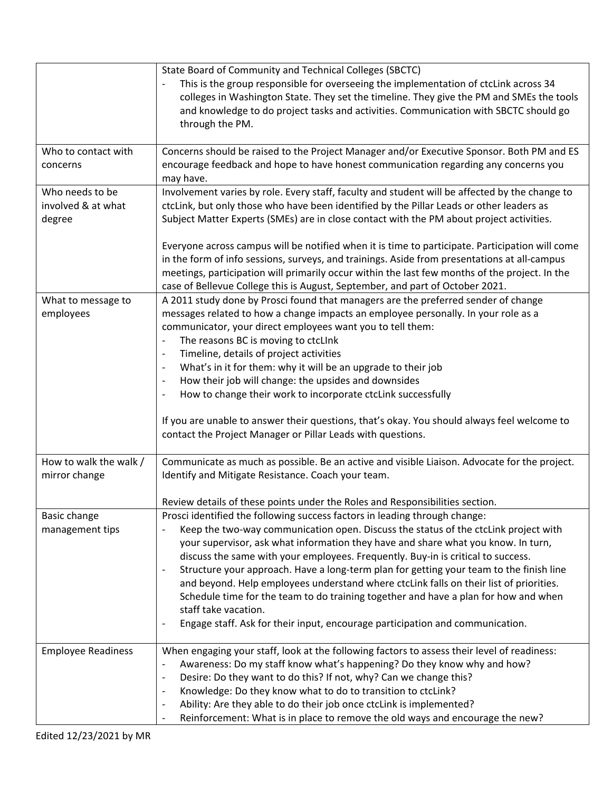|                                                 | State Board of Community and Technical Colleges (SBCTC)<br>This is the group responsible for overseeing the implementation of ctcLink across 34<br>colleges in Washington State. They set the timeline. They give the PM and SMEs the tools<br>and knowledge to do project tasks and activities. Communication with SBCTC should go<br>through the PM.                                                                                                                                                                                                                                                                                                                                                                                                                  |
|-------------------------------------------------|-------------------------------------------------------------------------------------------------------------------------------------------------------------------------------------------------------------------------------------------------------------------------------------------------------------------------------------------------------------------------------------------------------------------------------------------------------------------------------------------------------------------------------------------------------------------------------------------------------------------------------------------------------------------------------------------------------------------------------------------------------------------------|
| Who to contact with<br>concerns                 | Concerns should be raised to the Project Manager and/or Executive Sponsor. Both PM and ES<br>encourage feedback and hope to have honest communication regarding any concerns you<br>may have.                                                                                                                                                                                                                                                                                                                                                                                                                                                                                                                                                                           |
| Who needs to be<br>involved & at what<br>degree | Involvement varies by role. Every staff, faculty and student will be affected by the change to<br>ctcLink, but only those who have been identified by the Pillar Leads or other leaders as<br>Subject Matter Experts (SMEs) are in close contact with the PM about project activities.                                                                                                                                                                                                                                                                                                                                                                                                                                                                                  |
|                                                 | Everyone across campus will be notified when it is time to participate. Participation will come<br>in the form of info sessions, surveys, and trainings. Aside from presentations at all-campus<br>meetings, participation will primarily occur within the last few months of the project. In the<br>case of Bellevue College this is August, September, and part of October 2021.                                                                                                                                                                                                                                                                                                                                                                                      |
| What to message to<br>employees                 | A 2011 study done by Prosci found that managers are the preferred sender of change<br>messages related to how a change impacts an employee personally. In your role as a<br>communicator, your direct employees want you to tell them:<br>The reasons BC is moving to ctcLInk<br>$\overline{a}$<br>Timeline, details of project activities<br>$\overline{a}$<br>What's in it for them: why it will be an upgrade to their job<br>$\overline{a}$<br>How their job will change: the upsides and downsides<br>$\overline{\phantom{a}}$<br>How to change their work to incorporate ctcLink successfully<br>÷,<br>If you are unable to answer their questions, that's okay. You should always feel welcome to<br>contact the Project Manager or Pillar Leads with questions. |
| How to walk the walk /<br>mirror change         | Communicate as much as possible. Be an active and visible Liaison. Advocate for the project.<br>Identify and Mitigate Resistance. Coach your team.<br>Review details of these points under the Roles and Responsibilities section.                                                                                                                                                                                                                                                                                                                                                                                                                                                                                                                                      |
| Basic change<br>management tips                 | Prosci identified the following success factors in leading through change:<br>Keep the two-way communication open. Discuss the status of the ctcLink project with<br>your supervisor, ask what information they have and share what you know. In turn,<br>discuss the same with your employees. Frequently. Buy-in is critical to success.<br>Structure your approach. Have a long-term plan for getting your team to the finish line<br>$\overline{a}$<br>and beyond. Help employees understand where ctcLink falls on their list of priorities.<br>Schedule time for the team to do training together and have a plan for how and when<br>staff take vacation.<br>Engage staff. Ask for their input, encourage participation and communication.                       |
| <b>Employee Readiness</b>                       | When engaging your staff, look at the following factors to assess their level of readiness:<br>Awareness: Do my staff know what's happening? Do they know why and how?<br>$\overline{a}$<br>Desire: Do they want to do this? If not, why? Can we change this?<br>$\overline{a}$<br>Knowledge: Do they know what to do to transition to ctcLink?<br>$\overline{a}$<br>Ability: Are they able to do their job once ctcLink is implemented?<br>$\overline{\phantom{a}}$<br>Reinforcement: What is in place to remove the old ways and encourage the new?<br>$\overline{a}$                                                                                                                                                                                                 |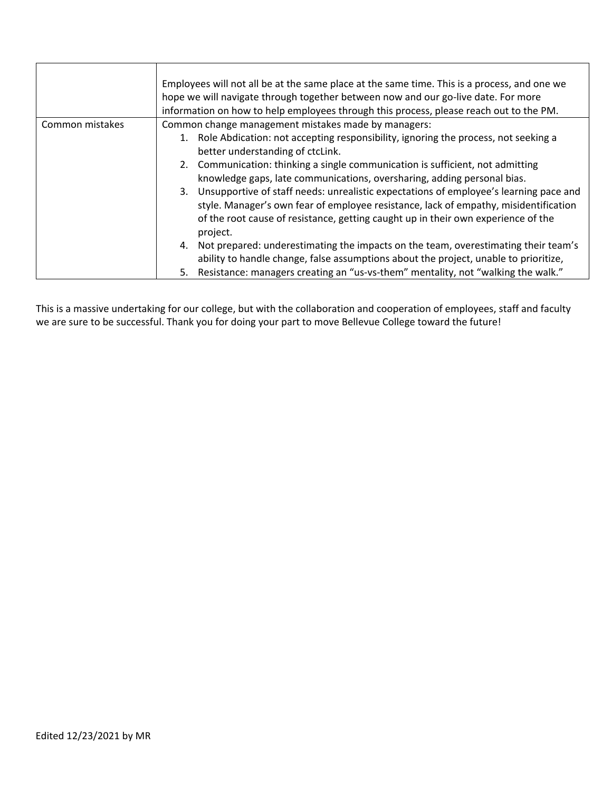|                 | Employees will not all be at the same place at the same time. This is a process, and one we<br>hope we will navigate through together between now and our go-live date. For more<br>information on how to help employees through this process, please reach out to the PM.                                                                                                                                                                                                                                                                                                                                                                                                                                                                                                                                                                                                                                          |
|-----------------|---------------------------------------------------------------------------------------------------------------------------------------------------------------------------------------------------------------------------------------------------------------------------------------------------------------------------------------------------------------------------------------------------------------------------------------------------------------------------------------------------------------------------------------------------------------------------------------------------------------------------------------------------------------------------------------------------------------------------------------------------------------------------------------------------------------------------------------------------------------------------------------------------------------------|
| Common mistakes | Common change management mistakes made by managers:<br>1. Role Abdication: not accepting responsibility, ignoring the process, not seeking a<br>better understanding of ctcLink.<br>2. Communication: thinking a single communication is sufficient, not admitting<br>knowledge gaps, late communications, oversharing, adding personal bias.<br>Unsupportive of staff needs: unrealistic expectations of employee's learning pace and<br>3.<br>style. Manager's own fear of employee resistance, lack of empathy, misidentification<br>of the root cause of resistance, getting caught up in their own experience of the<br>project.<br>Not prepared: underestimating the impacts on the team, overestimating their team's<br>4.<br>ability to handle change, false assumptions about the project, unable to prioritize,<br>Resistance: managers creating an "us-vs-them" mentality, not "walking the walk."<br>5. |

This is a massive undertaking for our college, but with the collaboration and cooperation of employees, staff and faculty we are sure to be successful. Thank you for doing your part to move Bellevue College toward the future!